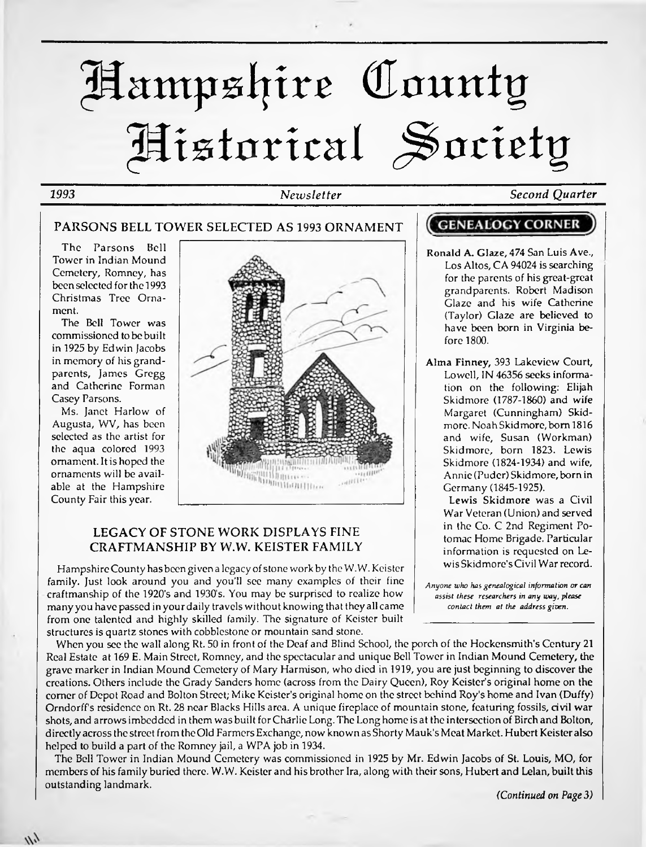# ptampslj*ivt (Eaunty* Historical Society

#### *1993 Newsletter Second Quarter*

#### **PARSONS BELL TOWER SELECTED AS 1993 ORNAMENT**

The Parsons Bell Tower in Indian Mound Cemetery, Romney, has been selected forthe 1993 Christmas Tree Ornament.

The Bell Tower was commissioned to be built in 1925 by Edwin Jacobs in memory of his grandparents, James Gregg and Catherine Forman Casey Parsons.

Ms. Janet Harlow of Augusta, WV, has been selected as the artist for the aqua colored 1993 ornament. It is hoped the ornaments will be available at the Hampshire County Fair this year.

 $\frac{1}{2}$ 



#### **LEGACY OF STONE WORK DISPLAYS FINE CRAFTMANSHIP BY W.W. KEISTER FAMILY**

Hampshire County has been given a legacy of stone work by the W.W. Keister family. Just look around you and you'll see many examples of their fine craftmanship of the 1920's and 1930's. You may be surprised to realize how many you have passed in your daily travels without knowing that they all came from one talented and highly skilled family. The signature of Keister built structures is quartz stones with cobblestone or mountain sand stone.

When you see the wall along Rt. 50 in front of the Deaf and Blind School, the porch of the Hockensmith's Century 21 Real Estate at 169 E. Main Street, Romney, and the spectacular and unique Bell Tower in Indian Mound Cemetery, the grave marker in Indian Mound Cemetery of Mary Harmison, who died in 1919, you are just beginning to discover the creations. Others include the Grady Sanders home (across from the Dairy Queen), Roy Keister's original home on the comer of Depot Road and Bolton Street; Mike Keister's original home on the street behind Roy's home and Ivan (Duffy) Orndorff's residence on Rt. 28 near Blacks Hills area. A unique fireplace of mountain stone, featuring fossils, civil war shots, and arrowsimbedded in them was built forCharlie Long. The Long home is at the intersection of Birch and Bolton, directly across the street from the Old Farmers Exchange, now known as Shorty Mauk's Meat Market. Hubert Keister also helped to build a part of the Romney jail, a WPA job in 1934.

The Bell Tower in Indian Mound Cemetery was commissioned in 1925 by Mr. Edwin Jacobs of St. Louis, MO, for members of his family buried there. W.W. Keister and his brother Ira, along with their sons, Hubert and Lelan, built this outstanding landmark.

### **GENEALOGY CORNER**

- Ronald A. Glaze, 474 San Luis Ave., Los Altos, CA 94024 is searching for the parents of his great-great grandparents. Robert Madison Glaze and his wife Catherine (Taylor) Glaze are believed to have been born in Virginia before 1800.
- Alma Finney, 393 Lakeview Court, Lowell, IN 46356 seeks information on the following: Elijah Skidmore (1787-1860) and wife Margaret (Cunningham) Skidmore. Noah Skidmore, born 1816 and wife, Susan (Workman) Skidmore, born 1823. Lewis Skidmore (1824-1934) and wife, Annie (Puder) Skidmore, born in Germany (1845-1925).

Lewis Skidmore was a Civil War Veteran (Union) and served in the Co. C 2nd Regiment Potomac Home Brigade. Particular information is requested on Lewis Skidmore's Civil War record.

*Anyone who has genealogical information or can assist these researchers in any way, please contact them at the address given.*

*(Continued on Page 3)*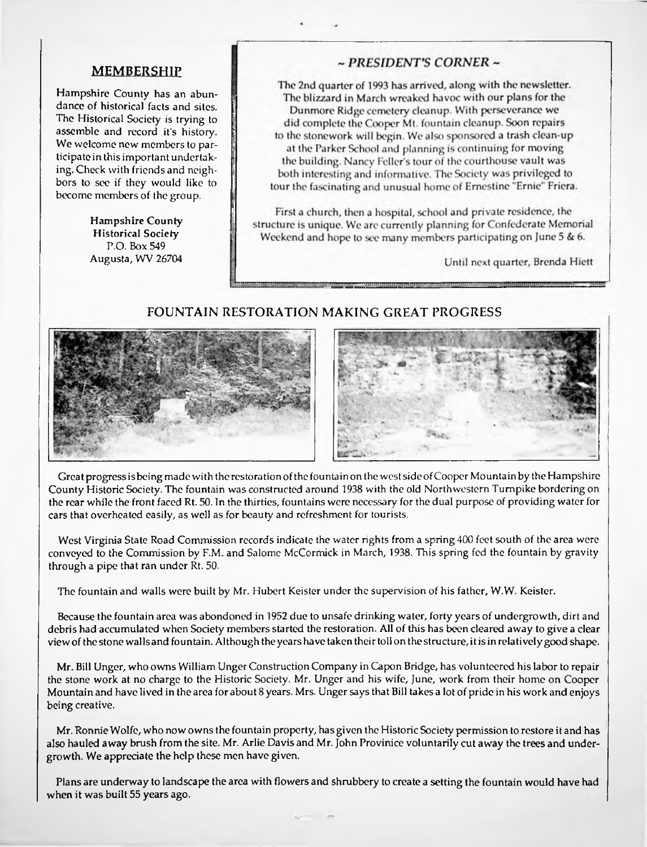#### **MEMBERSHIP**

Hampshire County has an abundance of historical facts and sites. The Historical Society is trying to assemble and record it's history. We welcome new members to participate in thisimportant undertaking. Check with friends and neighbors to sec if they would like to become members of the group.

> Hampshire County Historical Society P.O. Box 549 Augusta, WV 26704

#### $\sim$  PRESIDENT'S CORNER  $\sim$

The 2nd quarter of 1993 has arrived, along with the newsletter. The blizzard in March wreaked havoc with our plans for the Dunmore Ridge cemetery cleanup. With perseverance we did complete the Cooper Mt. fountain cleanup. Soon repairs to the stonework will begin. We also sponsored a trash clean-up at the Parker School and planning is continuing for moving the building. Nancy Feller's tour of the courthouse vault was both interesting and informative. The Society was privileged to tour the fascinating and unusual home of Ernestine "Ernie" Friera.

First a church, then a hospital, school and private residence, the structure is unique. We are currently planning for Confederate Memorial Weekend and hope to see many members participating on June 5 & 6.

Until next quarter, Brenda Hiett

#### **FOUNTAIN RESTORATION MAKING GREAT PROGRESS**





Great progress is being made with the restoration of the fountain on the west side of Cooper Mountain by the Hampshire County Historic Society. The fountain was constructed around 1938 with the old Northwestern Turnpike bordering on the rear while the front faced Rt. 50. In the thirties, fountains were necessary for the dual purpose of providing water for cars that overheated easily, as well as for beauty and refreshment for tourists.

West Virginia State Road Commission records indicate the water rights from a spring 400 feet south of the area were conveyed to the Commission by F.M. and Salome McCormick in March, 1938. This spring fed the fountain by gravity through a pipe that ran under Rt. 50.

The fountain and walls were built by Mr. Hubert Keister under the supervision of his father, W.W. Keister.

Because the fountain area was abondoned in 1952 due to unsafe drinking water, forty years of undergrowth, dirt and debris had accumulated when Society members started the restoration. All of this has been cleared away to give a clear viewofthe stone wallsand fountain. Although the years have taken theirtoll on the structure, it isin relatively good shape.

Mr. Bill Unger, who owns William Unger Construction Company in Capon Bridge, has volunteered his labor to repair the stone work at no charge to the Historic Society. Mr. Unger and his wife, June, work from their home on Cooper Mountain and have lived in the area for about 8 years. Mrs. Ungersays that Bill takes a lot of pride in his work and enjoys being creative.

Mr. Ronnie Wolfe, who now ownsthe fountain property, has given the Historic Society permission to restore it and has also hauled away brush from the site. Mr. Arlie Davis and Mr. John Provinice voluntarily cut away the trees and undergrowth. We appreciate the help these men have given.

Plans are underway to landscape the area with flowers and shrubbery to create a setting the fountain would have had when it was built 55 years ago.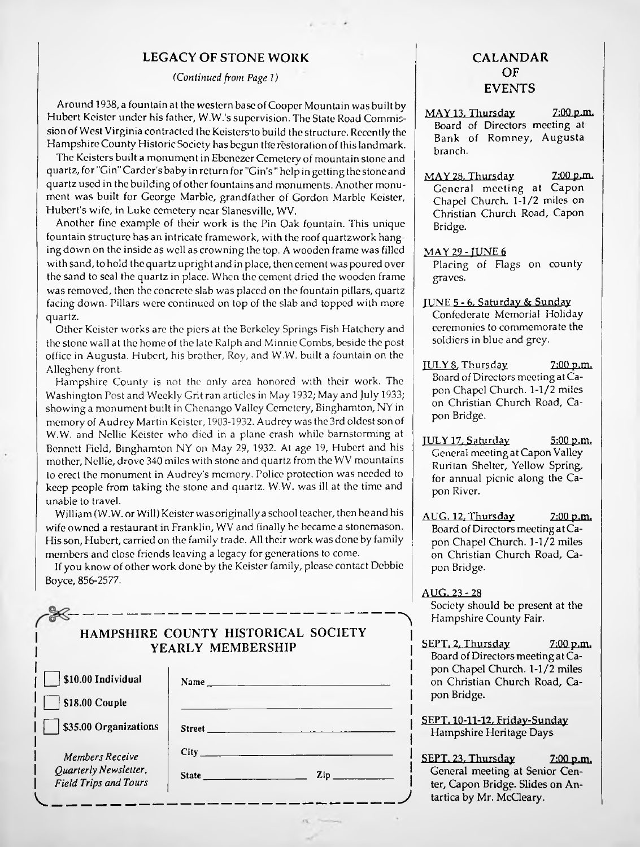#### **LEGACY OF STONE WORK**

*(Continued from Page 1)*

Around 1938, a fountain at the western base of Cooper Mountain was built by Hubert Keister under his father, W.W.'s supervision. The Stale Road Commission of West Virginia contracted the Keisters'to build the structure. Recently the Hampshire County Historic Society has begun the restoration of this landmark.

The Keisters built a monument in Ebenezer Cemetery of mountain stone and quartz, for "Gin"Carder's baby in return for "Gin's " help in getting the stoncand quartz used in the building of other fountains and monuments. Another monument was built for George Marble, grandfather of Gordon Marble Keister, Hubert's wife, in Luke cemetery near Slancsville, WV.

Another fine example of their work is the Pin Oak fountain. This unique fountain structure has an intricate framework, with the roof quartzwork hanging down on the inside as well as crowning the top. A wooden frame was filled with sand, to hold the quartz upright and in place, then cement was poured over the sand to seal the quartz in place. When the cement dried the wooden frame was removed, then the concrete slab was placed on the fountain pillars, quartz facing down. Pillars were continued on top of the slab and topped with more quartz.

Other Keister works are the piers at the Berkeley Springs Fish Hatchery and the stone wall at the home of the late Ralph and Minnie Combs, beside the post office in Augusta. Hubert, his brother, Roy, and W.W. built a fountain on the Allegheny front.

Hampshire County is not the only area honored with their work. The Washington Post and Weekly Grit ran articles in May 1932; May and July 1933; showing a monument built in Chenango Valley Cemetery, Binghamton, NY in memory of Audrey Martin Keister, 1903-1932. Audrey was the 3rd oldestson of W.W. and Nellie Keister who died in a plane crash while barnstorming at Bennett Field, Binghamton NY on May 29, 1932. At age 19, Hubert and his mother, Nellie, drove 340 miles with stone and quartz from the WV mountains to erect the monument in Audrey's memory. Police protection was needed to keep people from taking the stone and quartz. W.W. was ill at the time and unable to travel.

William (W.W. or Will) Keister was originally a school teacher, then he and his wife owned a restaurant in Franklin, WV and finally he became a stonemason. Hisson, Hubert, carried on the family trade. All their work was done by family members and close friends leaving a legacy for generations to come.

If you know of other work done by the Keister family, please contact Debbie Boyce, 856-2577.

| HAMPSHIRE COUNTY HISTORICAL SOCIETY<br>YEARLY MEMBERSHIP                 |                                                                                                                                                                                                                                |
|--------------------------------------------------------------------------|--------------------------------------------------------------------------------------------------------------------------------------------------------------------------------------------------------------------------------|
| \$10.00 Individual<br>\$18.00 Couple<br>\$35.00 Organizations            | Street and the state of the state of the state of the state of the state of the state of the state of the state of the state of the state of the state of the state of the state of the state of the state of the state of the |
| Members Receive<br>Ouarterly Newsletter,<br><b>Field Trips and Tours</b> | State <u>______________</u> _<br>$\mathbf{Zip}$                                                                                                                                                                                |

#### **CALANDAR OF EVENTS**

- $MAY$  13. Thursday  $7:00$  p.m. Board of Directors meeting at Bank of Romney, Augusta branch.
- MAY 28. Thursday 7:00 p.m. General meeting at Capon Chapel Church. 1-1/2 miles on Christian Church Road, Capon Bridge.
- MAY 29 TUNE 6 Placing of Flags on county graves.
- TUNE 5 6. Saturday & Sunday Confederate Memorial Holiday ceremonies to commemorate the soldiers in blue and grey.
- $JULY 8. Thursday$   $7:00 p.m.$ Board of Directors meeting atCapon Chapel Church. 1-1/2 miles on Christian Church Road, Capon Bridge.
- TULY 17. Saturday 5:00 p.m. General meeting at Capon Valley Ruritan Shelter, Yellow Spring, for annual picnic along the Capon River.
- $AUG. 12. Thursday$  7:00 p.m. Board of Directors meeting atCapon Chapel Church. 1-1/2 miles on Christian Church Road, Capon Bridge.

AUG, 23 - 28 Society should be present at the Hampshire County Fair.

SEPT, 2, Thursday 7:00 p.m. Board of Directors meeting at Capon Chapel Church. 1-1/2 miles on Christian Church Road, Capon Bridge.

SEPT. 10-11-12, Fridav-Sundav Hampshire Heritage Days

*J*

SEPT. 23. Thursday 7:00 p.m. General meeting at Senior Center, Capon Bridge. Slides on Antartica by Mr. McCleary.